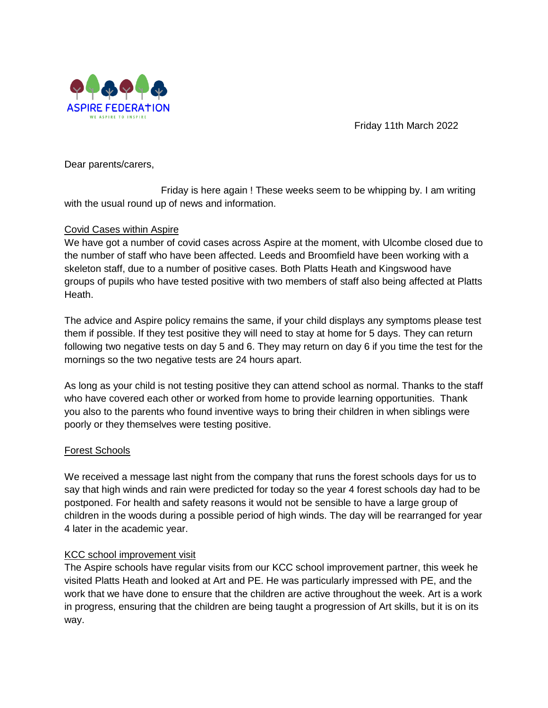

Friday 11th March 2022

Dear parents/carers,

Friday is here again ! These weeks seem to be whipping by. I am writing with the usual round up of news and information.

### Covid Cases within Aspire

We have got a number of covid cases across Aspire at the moment, with Ulcombe closed due to the number of staff who have been affected. Leeds and Broomfield have been working with a skeleton staff, due to a number of positive cases. Both Platts Heath and Kingswood have groups of pupils who have tested positive with two members of staff also being affected at Platts Heath.

The advice and Aspire policy remains the same, if your child displays any symptoms please test them if possible. If they test positive they will need to stay at home for 5 days. They can return following two negative tests on day 5 and 6. They may return on day 6 if you time the test for the mornings so the two negative tests are 24 hours apart.

As long as your child is not testing positive they can attend school as normal. Thanks to the staff who have covered each other or worked from home to provide learning opportunities. Thank you also to the parents who found inventive ways to bring their children in when siblings were poorly or they themselves were testing positive.

# Forest Schools

We received a message last night from the company that runs the forest schools days for us to say that high winds and rain were predicted for today so the year 4 forest schools day had to be postponed. For health and safety reasons it would not be sensible to have a large group of children in the woods during a possible period of high winds. The day will be rearranged for year 4 later in the academic year.

# KCC school improvement visit

The Aspire schools have regular visits from our KCC school improvement partner, this week he visited Platts Heath and looked at Art and PE. He was particularly impressed with PE, and the work that we have done to ensure that the children are active throughout the week. Art is a work in progress, ensuring that the children are being taught a progression of Art skills, but it is on its way.